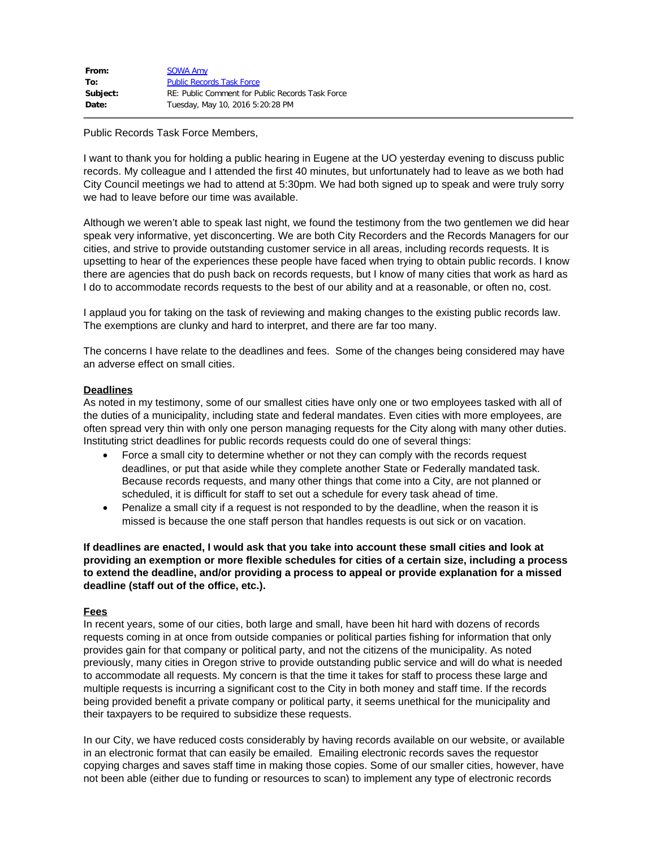| From:    | <b>SOWA Amy</b>                                  |
|----------|--------------------------------------------------|
| To:      | <b>Public Records Task Force</b>                 |
| Subject: | RE: Public Comment for Public Records Task Force |
| Date:    | Tuesday, May 10, 2016 5:20:28 PM                 |

Public Records Task Force Members,

I want to thank you for holding a public hearing in Eugene at the UO yesterday evening to discuss public records. My colleague and I attended the first 40 minutes, but unfortunately had to leave as we both had City Council meetings we had to attend at 5:30pm. We had both signed up to speak and were truly sorry we had to leave before our time was available.

Although we weren't able to speak last night, we found the testimony from the two gentlemen we did hear speak very informative, yet disconcerting. We are both City Recorders and the Records Managers for our cities, and strive to provide outstanding customer service in all areas, including records requests. It is upsetting to hear of the experiences these people have faced when trying to obtain public records. I know there are agencies that do push back on records requests, but I know of many cities that work as hard as I do to accommodate records requests to the best of our ability and at a reasonable, or often no, cost.

I applaud you for taking on the task of reviewing and making changes to the existing public records law. The exemptions are clunky and hard to interpret, and there are far too many.

The concerns I have relate to the deadlines and fees. Some of the changes being considered may have an adverse effect on small cities.

## **Deadlines**

As noted in my testimony, some of our smallest cities have only one or two employees tasked with all of the duties of a municipality, including state and federal mandates. Even cities with more employees, are often spread very thin with only one person managing requests for the City along with many other duties. Instituting strict deadlines for public records requests could do one of several things:

- · Force a small city to determine whether or not they can comply with the records request deadlines, or put that aside while they complete another State or Federally mandated task. Because records requests, and many other things that come into a City, are not planned or scheduled, it is difficult for staff to set out a schedule for every task ahead of time.
- · Penalize a small city if a request is not responded to by the deadline, when the reason it is missed is because the one staff person that handles requests is out sick or on vacation.

**If deadlines are enacted, I would ask that you take into account these small cities and look at providing an exemption or more flexible schedules for cities of a certain size, including a process to extend the deadline, and/or providing a process to appeal or provide explanation for a missed deadline (staff out of the office, etc.).**

## **Fees**

In recent years, some of our cities, both large and small, have been hit hard with dozens of records requests coming in at once from outside companies or political parties fishing for information that only provides gain for that company or political party, and not the citizens of the municipality. As noted previously, many cities in Oregon strive to provide outstanding public service and will do what is needed to accommodate all requests. My concern is that the time it takes for staff to process these large and multiple requests is incurring a significant cost to the City in both money and staff time. If the records being provided benefit a private company or political party, it seems unethical for the municipality and their taxpayers to be required to subsidize these requests.

In our City, we have reduced costs considerably by having records available on our website, or available in an electronic format that can easily be emailed. Emailing electronic records saves the requestor copying charges and saves staff time in making those copies. Some of our smaller cities, however, have not been able (either due to funding or resources to scan) to implement any type of electronic records